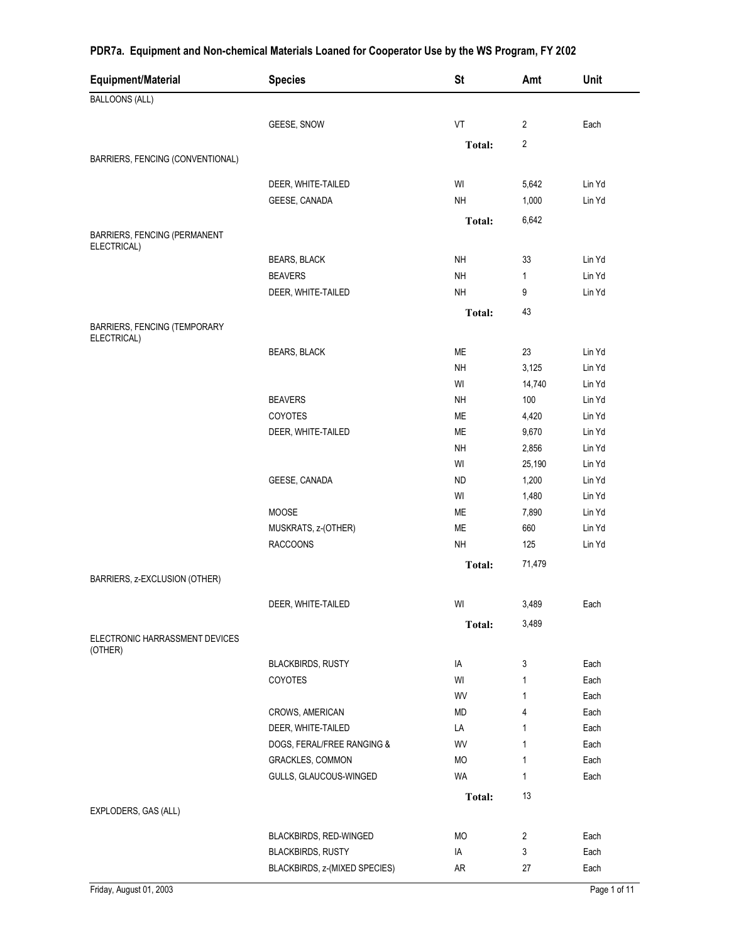| Equipment/Material                                 | <b>Species</b>                | <b>St</b>     | Amt                     | Unit   |
|----------------------------------------------------|-------------------------------|---------------|-------------------------|--------|
| <b>BALLOONS (ALL)</b>                              |                               |               |                         |        |
|                                                    | GEESE, SNOW                   | VT            | $\overline{2}$          | Each   |
|                                                    |                               | <b>Total:</b> | $\overline{\mathbf{c}}$ |        |
| BARRIERS, FENCING (CONVENTIONAL)                   |                               |               |                         |        |
|                                                    | DEER, WHITE-TAILED            | WI            | 5,642                   | Lin Yd |
|                                                    | GEESE, CANADA                 | <b>NH</b>     | 1,000                   | Lin Yd |
|                                                    |                               | Total:        | 6,642                   |        |
| BARRIERS, FENCING (PERMANENT<br>ELECTRICAL)        |                               |               |                         |        |
|                                                    | <b>BEARS, BLACK</b>           | <b>NH</b>     | 33                      | Lin Yd |
|                                                    | <b>BEAVERS</b>                | <b>NH</b>     | 1                       | Lin Yd |
|                                                    | DEER, WHITE-TAILED            | <b>NH</b>     | 9                       | Lin Yd |
|                                                    |                               | <b>Total:</b> | 43                      |        |
| <b>BARRIERS, FENCING (TEMPORARY</b><br>ELECTRICAL) |                               |               |                         |        |
|                                                    | <b>BEARS, BLACK</b>           | ME            | 23                      | Lin Yd |
|                                                    |                               | <b>NH</b>     | 3,125                   | Lin Yd |
|                                                    |                               | WI            | 14,740                  | Lin Yd |
|                                                    | <b>BEAVERS</b>                | <b>NH</b>     | 100                     | Lin Yd |
|                                                    | COYOTES                       | ME            | 4,420                   | Lin Yd |
|                                                    | DEER, WHITE-TAILED            | <b>ME</b>     | 9,670                   | Lin Yd |
|                                                    |                               | <b>NH</b>     | 2,856                   | Lin Yd |
|                                                    |                               | WI            | 25,190                  | Lin Yd |
|                                                    | GEESE, CANADA                 | ND            | 1,200                   | Lin Yd |
|                                                    |                               | WI            | 1,480                   | Lin Yd |
|                                                    | <b>MOOSE</b>                  | ME            | 7,890                   | Lin Yd |
|                                                    | MUSKRATS, z-(OTHER)           | ME            | 660                     | Lin Yd |
|                                                    | <b>RACCOONS</b>               | <b>NH</b>     | 125                     | Lin Yd |
|                                                    |                               | Total:        | 71,479                  |        |
| BARRIERS, z-EXCLUSION (OTHER)                      |                               |               |                         |        |
|                                                    | DEER, WHITE-TAILED            | WI            | 3,489                   | Each   |
| ELECTRONIC HARRASSMENT DEVICES                     |                               | <b>Total:</b> | 3,489                   |        |
| (OTHER)                                            | <b>BLACKBIRDS, RUSTY</b>      | IA            | 3                       | Each   |
|                                                    | <b>COYOTES</b>                | WI            | 1                       | Each   |
|                                                    |                               | WV            | 1                       | Each   |
|                                                    | CROWS, AMERICAN               | MD            | 4                       | Each   |
|                                                    | DEER, WHITE-TAILED            | LA            | 1                       | Each   |
|                                                    | DOGS, FERAL/FREE RANGING &    | WV            | 1                       | Each   |
|                                                    | <b>GRACKLES, COMMON</b>       | <b>MO</b>     | 1                       | Each   |
|                                                    | GULLS, GLAUCOUS-WINGED        | <b>WA</b>     | 1                       | Each   |
|                                                    |                               | Total:        | 13                      |        |
| EXPLODERS, GAS (ALL)                               |                               |               |                         |        |
|                                                    | BLACKBIRDS, RED-WINGED        | MO            | 2                       | Each   |
|                                                    | <b>BLACKBIRDS, RUSTY</b>      | IA            | 3                       | Each   |
|                                                    | BLACKBIRDS, z-(MIXED SPECIES) | AR            | 27                      | Each   |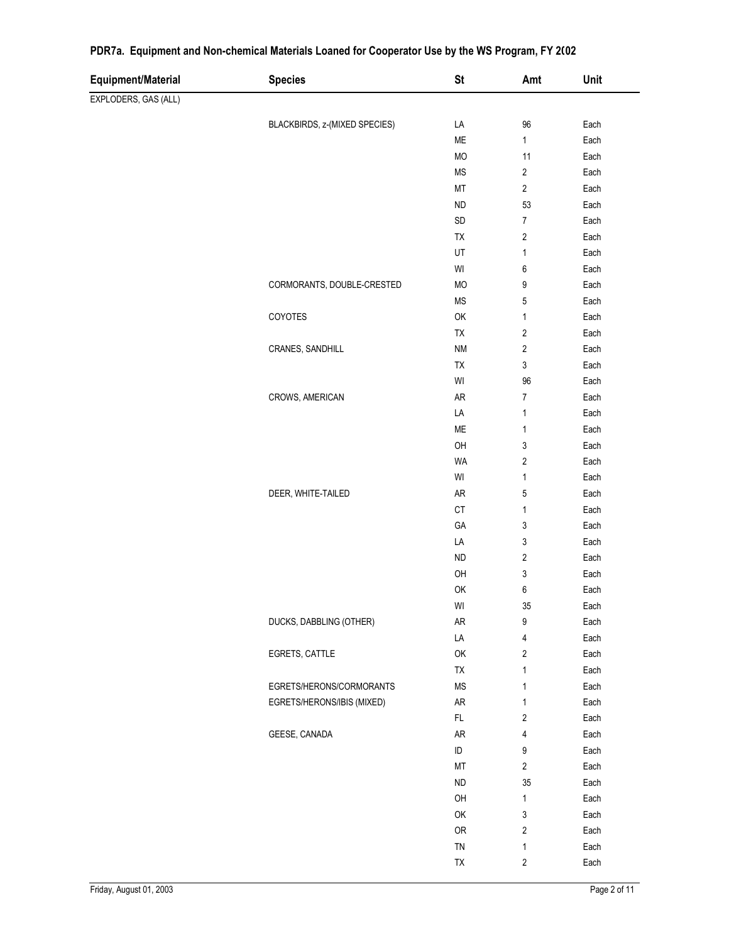| Equipment/Material   | <b>Species</b>                | <b>St</b>                                               | Amt                       | Unit         |
|----------------------|-------------------------------|---------------------------------------------------------|---------------------------|--------------|
| EXPLODERS, GAS (ALL) |                               |                                                         |                           |              |
|                      | BLACKBIRDS, z-(MIXED SPECIES) | LA                                                      | 96                        | Each         |
|                      |                               | ME                                                      | $\mathbf{1}$              | Each         |
|                      |                               | MO                                                      | 11                        | Each         |
|                      |                               | MS                                                      | $\sqrt{2}$                | Each         |
|                      |                               | MT                                                      | $\overline{2}$            | Each         |
|                      |                               | <b>ND</b>                                               | 53                        | Each         |
|                      |                               | SD                                                      | $\boldsymbol{7}$          | Each         |
|                      |                               | TX                                                      | $\sqrt{2}$                | Each         |
|                      |                               | UT                                                      | $\mathbf{1}$              | Each         |
|                      |                               | $\ensuremath{\mathsf{W}}\xspace\ensuremath{\mathsf{I}}$ | $\boldsymbol{6}$          | Each         |
|                      | CORMORANTS, DOUBLE-CRESTED    | MO                                                      | 9                         | Each         |
|                      |                               | <b>MS</b>                                               | $\mathbf 5$               | Each         |
|                      | COYOTES                       | OK                                                      | 1                         | Each         |
|                      |                               | TX                                                      | $\sqrt{2}$                | Each         |
|                      | CRANES, SANDHILL              | <b>NM</b>                                               | $\sqrt{2}$                | Each         |
|                      |                               | TX                                                      | $\mathsf 3$               | Each         |
|                      |                               | $\ensuremath{\mathsf{W}}\xspace\ensuremath{\mathsf{I}}$ | 96                        | Each         |
|                      | CROWS, AMERICAN               | AR                                                      | $\boldsymbol{7}$          | Each         |
|                      |                               | LA                                                      | $\mathbf{1}$              | Each         |
|                      |                               | ME                                                      | $\mathbf{1}$              | Each         |
|                      |                               | OH                                                      | $\ensuremath{\mathsf{3}}$ | Each         |
|                      |                               | <b>WA</b>                                               | $\sqrt{2}$                | Each         |
|                      |                               | $\mathsf{W}\mathsf{I}$                                  | $\mathbf{1}$              | Each         |
|                      | DEER, WHITE-TAILED            | ${\sf AR}$                                              | $\sqrt{5}$                | Each         |
|                      |                               | C <sub>T</sub>                                          | $\mathbf{1}$              | Each         |
|                      |                               | GA                                                      | $\ensuremath{\mathsf{3}}$ | Each         |
|                      |                               | LA                                                      | $\ensuremath{\mathsf{3}}$ | Each         |
|                      |                               | <b>ND</b>                                               | $\sqrt{2}$                | Each         |
|                      |                               | OH                                                      | $\sqrt{3}$                | Each         |
|                      |                               | OK                                                      | $\boldsymbol{6}$          | Each         |
|                      |                               | WI                                                      | $35\,$                    | Each         |
|                      | DUCKS, DABBLING (OTHER)       | ${\sf AR}$                                              | 9                         | Each         |
|                      |                               | LA                                                      | 4                         | Each         |
|                      | EGRETS, CATTLE                | OK                                                      | $\boldsymbol{2}$          | Each         |
|                      |                               | TX                                                      | 1                         | Each         |
|                      | EGRETS/HERONS/CORMORANTS      | <b>MS</b>                                               | 1                         | Each         |
|                      | EGRETS/HERONS/IBIS (MIXED)    | ${\sf AR}$                                              | 1                         | Each         |
|                      |                               | FL                                                      | 2                         | Each         |
|                      | GEESE, CANADA                 | AR                                                      | 4                         | Each         |
|                      |                               | ID                                                      | 9                         | Each         |
|                      |                               | MT                                                      | $\overline{2}$            | Each         |
|                      |                               | <b>ND</b>                                               | $35\,$                    | Each         |
|                      |                               | OH<br>OK                                                | 1<br>3                    | Each<br>Each |
|                      |                               | ${\sf OR}$                                              | 2                         | Each         |
|                      |                               | TN                                                      | 1                         | Each         |
|                      |                               | TX                                                      | 2                         | Each         |
|                      |                               |                                                         |                           |              |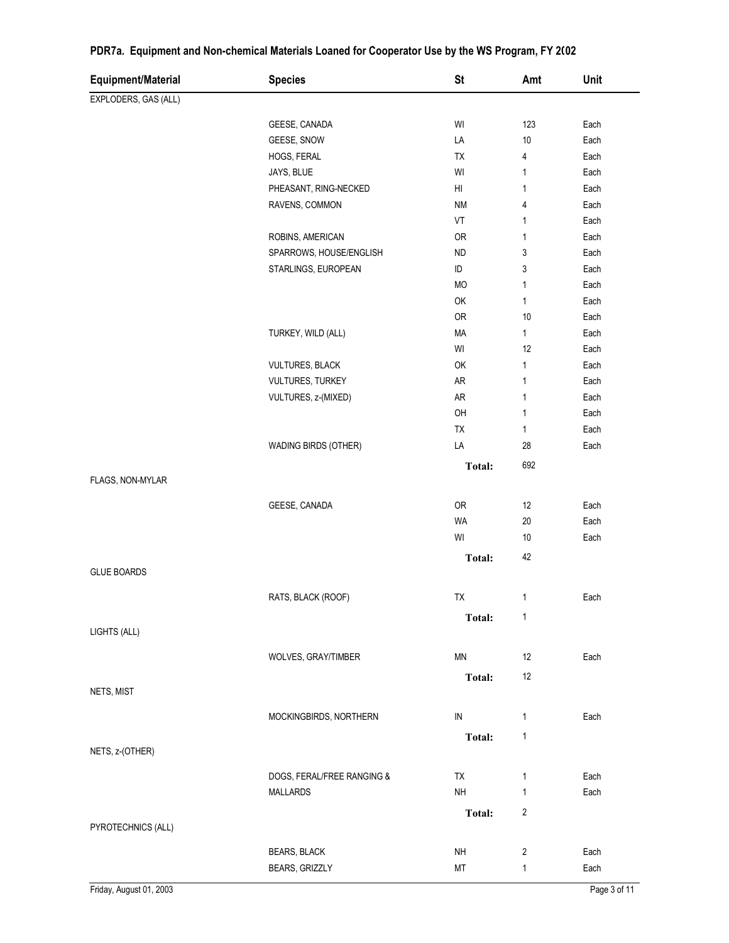| Equipment/Material   | <b>Species</b>             | <b>St</b>     | Amt            | Unit |
|----------------------|----------------------------|---------------|----------------|------|
| EXPLODERS, GAS (ALL) |                            |               |                |      |
|                      | GEESE, CANADA              | WI            | 123            | Each |
|                      | GEESE, SNOW                | LA            | 10             | Each |
|                      | HOGS, FERAL                | ТX            | 4              | Each |
|                      | JAYS, BLUE                 | WI            | $\mathbf{1}$   | Each |
|                      | PHEASANT, RING-NECKED      | HI            | $\mathbf{1}$   | Each |
|                      | RAVENS, COMMON             | <b>NM</b>     | 4              | Each |
|                      |                            | VT            | 1              | Each |
|                      | ROBINS, AMERICAN           | <b>OR</b>     | $\mathbf{1}$   | Each |
|                      | SPARROWS, HOUSE/ENGLISH    | <b>ND</b>     | 3              | Each |
|                      | STARLINGS, EUROPEAN        | ID            | 3              | Each |
|                      |                            | MO            | 1              | Each |
|                      |                            | OK            | $\mathbf{1}$   | Each |
|                      |                            | OR            | 10             | Each |
|                      | TURKEY, WILD (ALL)         | MA            | 1              | Each |
|                      |                            | WI            | 12             | Each |
|                      | <b>VULTURES, BLACK</b>     | OK            | $\mathbf{1}$   | Each |
|                      | VULTURES, TURKEY           | AR            | $\mathbf{1}$   | Each |
|                      | VULTURES, z-(MIXED)        | AR            | $\mathbf{1}$   | Each |
|                      |                            | OH            | $\mathbf{1}$   | Each |
|                      |                            | <b>TX</b>     | 1              | Each |
|                      | WADING BIRDS (OTHER)       | LA            | 28             | Each |
|                      |                            | Total:        | 692            |      |
| FLAGS, NON-MYLAR     |                            |               |                |      |
|                      |                            |               |                |      |
|                      | GEESE, CANADA              | OR            | 12             | Each |
|                      |                            | <b>WA</b>     | 20             | Each |
|                      |                            | WI            | 10             | Each |
|                      |                            | <b>Total:</b> | 42             |      |
| <b>GLUE BOARDS</b>   |                            |               |                |      |
|                      | RATS, BLACK (ROOF)         | TX            | 1              | Each |
|                      |                            |               |                |      |
|                      |                            | Total:        | $\mathbf{1}$   |      |
| LIGHTS (ALL)         |                            |               |                |      |
|                      | WOLVES, GRAY/TIMBER        | MN            | 12             | Each |
|                      |                            | <b>Total:</b> | 12             |      |
| NETS, MIST           |                            |               |                |      |
|                      |                            |               |                |      |
|                      | MOCKINGBIRDS, NORTHERN     | IN            | 1              | Each |
|                      |                            | <b>Total:</b> | $\mathbf{1}$   |      |
| NETS, z-(OTHER)      |                            |               |                |      |
|                      | DOGS, FERAL/FREE RANGING & | <b>TX</b>     | 1              | Each |
|                      | <b>MALLARDS</b>            | NH            | 1              | Each |
|                      |                            |               |                |      |
| PYROTECHNICS (ALL)   |                            | Total:        | $\overline{c}$ |      |
|                      |                            |               |                |      |
|                      | <b>BEARS, BLACK</b>        | NH            | $\overline{2}$ | Each |
|                      | BEARS, GRIZZLY             | МT            | 1              | Each |

á,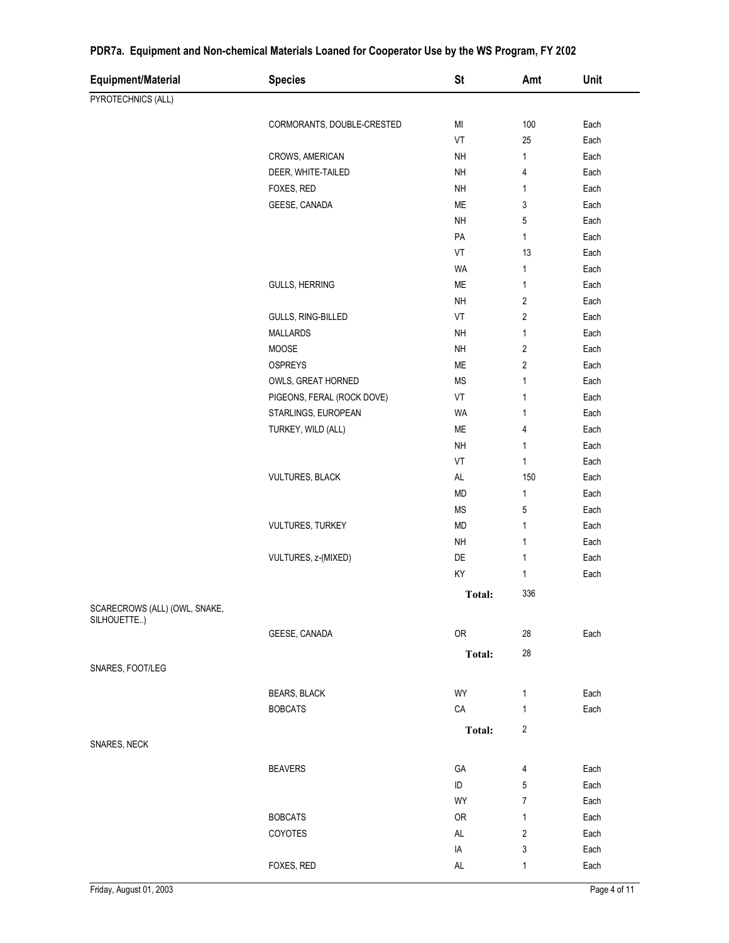| Equipment/Material                           | <b>Species</b>             | <b>St</b>             | Amt                     | Unit         |
|----------------------------------------------|----------------------------|-----------------------|-------------------------|--------------|
| PYROTECHNICS (ALL)                           |                            |                       |                         |              |
|                                              |                            |                       |                         |              |
|                                              | CORMORANTS, DOUBLE-CRESTED | MI<br>VT              | 100                     | Each         |
|                                              |                            |                       | 25                      | Each         |
|                                              | CROWS, AMERICAN            | NH                    | $\mathbf{1}$            | Each         |
|                                              | DEER, WHITE-TAILED         | <b>NH</b><br>$\sf NH$ | 4                       | Each         |
|                                              | FOXES, RED                 | ME                    | $\mathbf{1}$            | Each         |
|                                              | GEESE, CANADA              | $\sf NH$              | 3                       | Each         |
|                                              |                            |                       | 5<br>1                  | Each         |
|                                              |                            | PA<br>VT              | 13                      | Each<br>Each |
|                                              |                            |                       |                         |              |
|                                              |                            | WA<br>ME              | 1                       | Each         |
|                                              | <b>GULLS, HERRING</b>      |                       | $\mathbf{1}$            | Each         |
|                                              |                            | NH                    | $\sqrt{2}$              | Each         |
|                                              | GULLS, RING-BILLED         | VT                    | $\sqrt{2}$              | Each         |
|                                              | <b>MALLARDS</b>            | NH                    | $\mathbf{1}$            | Each         |
|                                              | MOOSE                      | NH                    | $\sqrt{2}$              | Each         |
|                                              | OSPREYS                    | ME                    | $\sqrt{2}$              | Each         |
|                                              | OWLS, GREAT HORNED         | <b>MS</b>             | $\mathbf{1}$            | Each         |
|                                              | PIGEONS, FERAL (ROCK DOVE) | VT                    | 1                       | Each         |
|                                              | STARLINGS, EUROPEAN        | WA                    | $\mathbf{1}$            | Each         |
|                                              | TURKEY, WILD (ALL)         | ME                    | 4                       | Each         |
|                                              |                            | NH                    | $\mathbf{1}$            | Each         |
|                                              |                            | VT                    | $\mathbf{1}$            | Each         |
|                                              | <b>VULTURES, BLACK</b>     | $\mathsf{AL}$         | 150                     | Each         |
|                                              |                            | MD                    | $\mathbf{1}$            | Each         |
|                                              |                            | <b>MS</b>             | 5                       | Each         |
|                                              | <b>VULTURES, TURKEY</b>    | MD                    | $\mathbf{1}$            | Each         |
|                                              |                            | NH                    | $\mathbf{1}$            | Each         |
|                                              | VULTURES, z-(MIXED)        | DE                    | $\mathbf{1}$            | Each         |
|                                              |                            | KY                    | $\mathbf{1}$            | Each         |
|                                              |                            | <b>Total:</b>         | 336                     |              |
| SCARECROWS (ALL) (OWL, SNAKE,<br>SILHOUETTE) |                            |                       |                         |              |
|                                              | GEESE, CANADA              | OR                    | 28                      | Each         |
|                                              |                            |                       | 28                      |              |
| SNARES, FOOT/LEG                             |                            | Total:                |                         |              |
|                                              |                            |                       |                         |              |
|                                              | <b>BEARS, BLACK</b>        | WY                    | $\mathbf{1}$            | Each         |
|                                              | <b>BOBCATS</b>             | ${\sf CA}$            | $\mathbf{1}$            | Each         |
|                                              |                            | Total:                | $\overline{\mathbf{c}}$ |              |
| SNARES, NECK                                 |                            |                       |                         |              |
|                                              |                            |                       |                         |              |
|                                              | <b>BEAVERS</b>             | GA                    | 4                       | Each         |
|                                              |                            | $\sf ID$              | 5                       | Each         |
|                                              |                            | WY                    | $\overline{7}$          | Each         |
|                                              | <b>BOBCATS</b>             | 0R                    | $\mathbf{1}$            | Each         |
|                                              | COYOTES                    | AL                    | $\overline{2}$          | Each         |
|                                              |                            | IA                    | 3                       | Each         |
|                                              | FOXES, RED                 | $\mathsf{AL}$         | 1                       | Each         |

 $\overline{\phantom{0}}$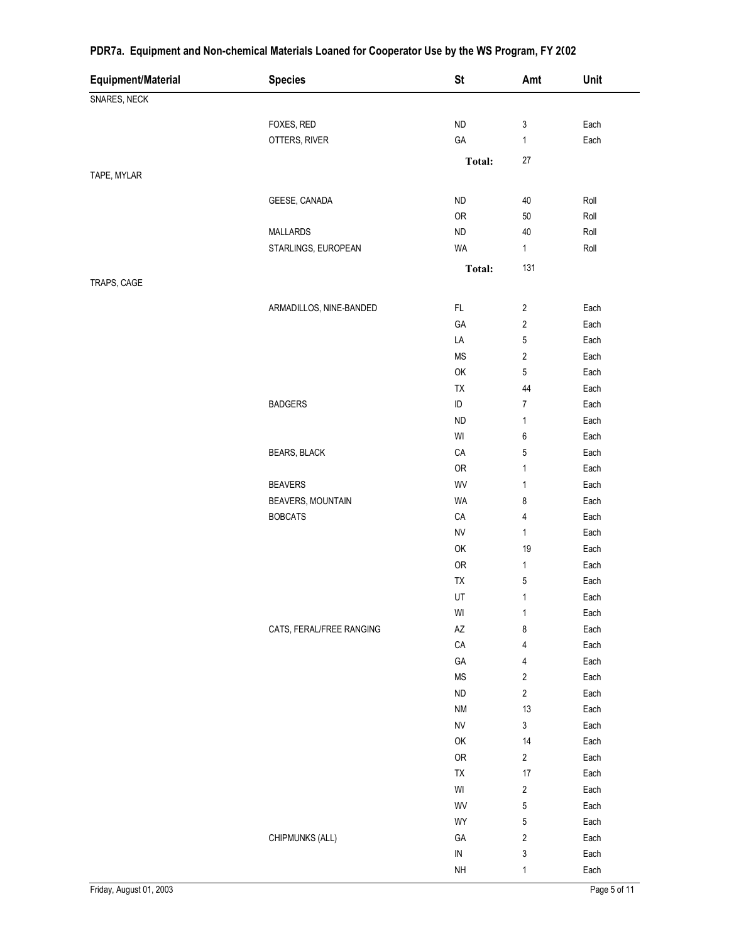| Equipment/Material | <b>Species</b>           | <b>St</b>                                               | Amt                       | Unit |
|--------------------|--------------------------|---------------------------------------------------------|---------------------------|------|
| SNARES, NECK       |                          |                                                         |                           |      |
|                    |                          |                                                         |                           |      |
|                    | FOXES, RED               | ${\sf ND}$                                              | $\ensuremath{\mathsf{3}}$ | Each |
|                    | OTTERS, RIVER            | GA                                                      | $\mathbf{1}$              | Each |
|                    |                          | Total:                                                  | $27\,$                    |      |
| TAPE, MYLAR        |                          |                                                         |                           |      |
|                    | GEESE, CANADA            | ${\sf ND}$                                              | $40\,$                    | Roll |
|                    |                          | OR                                                      | $50\,$                    | Roll |
|                    | <b>MALLARDS</b>          | ${\sf ND}$                                              | 40                        | Roll |
|                    | STARLINGS, EUROPEAN      | WA                                                      | 1                         | Roll |
|                    |                          | <b>Total:</b>                                           | 131                       |      |
| TRAPS, CAGE        |                          |                                                         |                           |      |
|                    |                          |                                                         |                           |      |
|                    | ARMADILLOS, NINE-BANDED  | FL.                                                     | $\sqrt{2}$                | Each |
|                    |                          | GA                                                      | $\overline{\mathbf{c}}$   | Each |
|                    |                          | LA                                                      | 5                         | Each |
|                    |                          | $\mathsf{MS}\xspace$                                    | $\sqrt{2}$                | Each |
|                    |                          | OK                                                      | $\mathbf 5$               | Each |
|                    |                          | TX                                                      | 44                        | Each |
|                    | <b>BADGERS</b>           | $\sf ID$                                                | $\overline{7}$            | Each |
|                    |                          | <b>ND</b>                                               | 1                         | Each |
|                    |                          | $\mathsf{W}\mathsf{I}$                                  | $\boldsymbol{6}$          | Each |
|                    | BEARS, BLACK             | $\mathsf{CA}$                                           | 5                         | Each |
|                    |                          | OR                                                      | 1                         | Each |
|                    | <b>BEAVERS</b>           | WV                                                      | 1                         | Each |
|                    | <b>BEAVERS, MOUNTAIN</b> | <b>WA</b>                                               | 8                         | Each |
|                    | <b>BOBCATS</b>           | ${\sf CA}$                                              | 4                         | Each |
|                    |                          | <b>NV</b>                                               | $\mathbf{1}$              | Each |
|                    |                          | OK                                                      | 19                        | Each |
|                    |                          | OR                                                      | 1                         | Each |
|                    |                          | TX                                                      | $\mathbf 5$               | Each |
|                    |                          | UT                                                      | $\mathbf{1}$              | Each |
|                    |                          | $\ensuremath{\mathsf{W}}\xspace\ensuremath{\mathsf{I}}$ | $\mathbf 1$               | Each |
|                    | CATS, FERAL/FREE RANGING | $\mathsf{A}\mathsf{Z}$                                  | 8                         | Each |
|                    |                          | CA                                                      | 4                         | Each |
|                    |                          | GA                                                      | 4                         | Each |
|                    |                          | MS                                                      | $\sqrt{2}$                | Each |
|                    |                          | <b>ND</b>                                               | $\sqrt{2}$                | Each |
|                    |                          | <b>NM</b>                                               | 13                        | Each |
|                    |                          | ${\sf NV}$                                              | $\mathsf 3$               | Each |
|                    |                          | OK                                                      | 14                        | Each |
|                    |                          | OR                                                      | $\overline{2}$            | Each |
|                    |                          | TX                                                      | 17                        | Each |
|                    |                          | $\ensuremath{\mathsf{W}}\xspace\ensuremath{\mathsf{I}}$ | $\sqrt{2}$                | Each |
|                    |                          | WV                                                      | $\sqrt{5}$                | Each |
|                    |                          | WY                                                      | $\mathbf 5$               | Each |
|                    | CHIPMUNKS (ALL)          | GА                                                      | $\sqrt{2}$                | Each |
|                    |                          | ${\sf IN}$                                              | $\ensuremath{\mathsf{3}}$ | Each |
|                    |                          | $\sf NH$                                                | $\mathbf{1}$              | Each |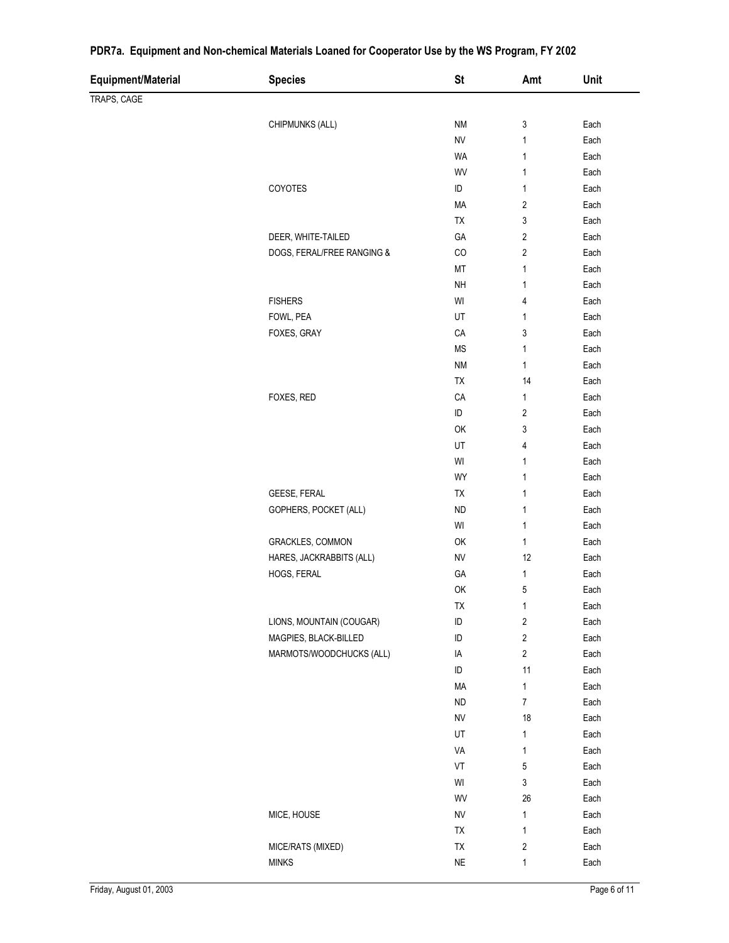| Equipment/Material | <b>Species</b>             | <b>St</b>   | Amt                     | Unit         |
|--------------------|----------------------------|-------------|-------------------------|--------------|
| TRAPS, CAGE        |                            |             |                         |              |
|                    |                            |             |                         |              |
|                    | CHIPMUNKS (ALL)            | <b>NM</b>   | 3                       | Each         |
|                    |                            | <b>NV</b>   | 1                       | Each         |
|                    |                            | WA<br>WV    | 1<br>1                  | Each<br>Each |
|                    | COYOTES                    | $\sf ID$    | $\mathbf{1}$            | Each         |
|                    |                            | MA          | $\sqrt{2}$              | Each         |
|                    |                            | TX          | 3                       | Each         |
|                    | DEER, WHITE-TAILED         | GA          | $\overline{2}$          | Each         |
|                    | DOGS, FERAL/FREE RANGING & | $_{\rm CO}$ | 2                       | Each         |
|                    |                            | MT          | 1                       | Each         |
|                    |                            | NH          | 1                       | Each         |
|                    | <b>FISHERS</b>             | WI          | 4                       | Each         |
|                    | FOWL, PEA                  | UT          | $\mathbf{1}$            | Each         |
|                    | FOXES, GRAY                | CA          | 3                       | Each         |
|                    |                            | <b>MS</b>   | 1                       | Each         |
|                    |                            | NM          | 1                       | Each         |
|                    |                            | TX          | 14                      | Each         |
|                    | FOXES, RED                 | CA          | 1                       | Each         |
|                    |                            | ID          | 2                       | Each         |
|                    |                            | OK          | 3                       | Each         |
|                    |                            | UT          | 4                       | Each         |
|                    |                            | WI          | 1                       | Each         |
|                    |                            | WY          | 1                       | Each         |
|                    | GEESE, FERAL               | TX          | 1                       | Each         |
|                    | GOPHERS, POCKET (ALL)      | ${\sf ND}$  | 1                       | Each         |
|                    |                            | WI          | 1                       | Each         |
|                    | GRACKLES, COMMON           | OK          | $\mathbf{1}$            | Each         |
|                    | HARES, JACKRABBITS (ALL)   | <b>NV</b>   | 12                      | Each         |
|                    | HOGS, FERAL                | GA          | 1                       | Each         |
|                    |                            | OK          | 5                       | Each         |
|                    |                            | TX          | 1                       | Each         |
|                    | LIONS, MOUNTAIN (COUGAR)   | ID          | $\sqrt{2}$              | Each         |
|                    | MAGPIES, BLACK-BILLED      | $\sf ID$    | $\sqrt{2}$              | Each         |
|                    | MARMOTS/WOODCHUCKS (ALL)   | IA          | $\overline{\mathbf{c}}$ | Each         |
|                    |                            | ID          | 11                      | Each         |
|                    |                            | MA          | 1                       | Each         |
|                    |                            | <b>ND</b>   | 7                       | Each         |
|                    |                            | <b>NV</b>   | 18                      | Each         |
|                    |                            | UT          | 1                       | Each         |
|                    |                            | VA          | $\mathbf{1}$            | Each         |
|                    |                            | VT          | 5                       | Each         |
|                    |                            | WI          | 3                       | Each         |
|                    |                            | WV          | 26                      | Each         |
|                    | MICE, HOUSE                | <b>NV</b>   | 1                       | Each         |
|                    |                            | TX          | $\mathbf{1}$            | Each         |
|                    | MICE/RATS (MIXED)          | TX          | $\boldsymbol{2}$        | Each         |
|                    | <b>MINKS</b>               | $\sf NE$    | 1                       | Each         |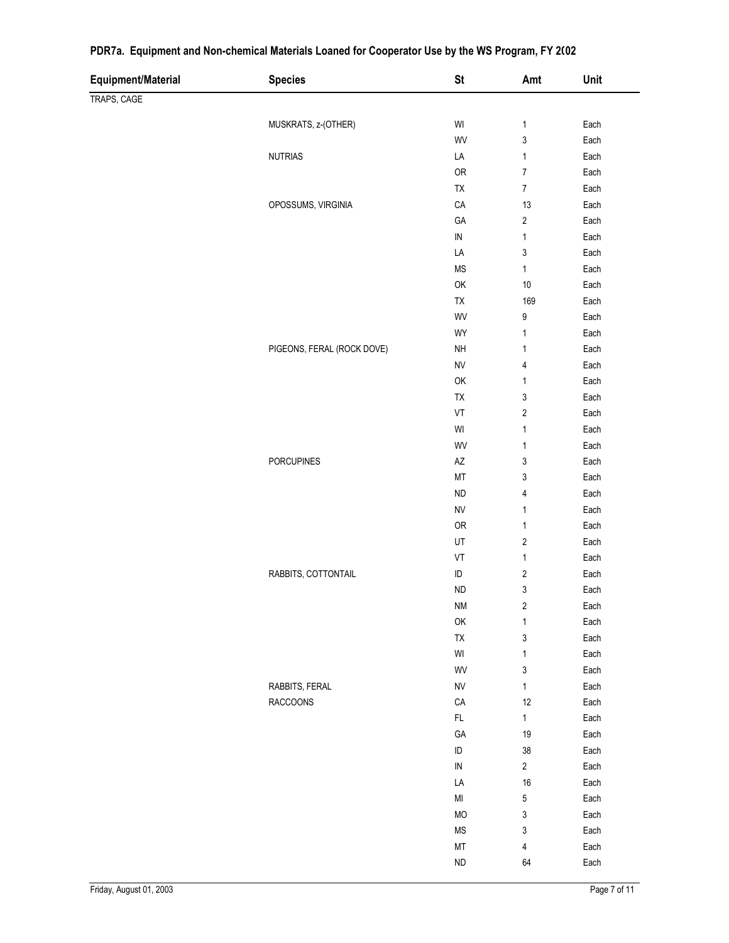| Equipment/Material | <b>Species</b>             | <b>St</b>                                                     | Amt                              | Unit                         |
|--------------------|----------------------------|---------------------------------------------------------------|----------------------------------|------------------------------|
| TRAPS, CAGE        |                            |                                                               |                                  |                              |
|                    |                            |                                                               |                                  |                              |
|                    | MUSKRATS, z-(OTHER)        | $\ensuremath{\mathsf{W}}\xspace\ensuremath{\mathsf{I}}$       | $\mathbf{1}$                     | Each                         |
|                    |                            | WV                                                            | $\sqrt{3}$                       | Each                         |
|                    | <b>NUTRIAS</b>             | LA                                                            | $\mathbf{1}$<br>$\boldsymbol{7}$ | Each                         |
|                    |                            | OR                                                            | $\boldsymbol{7}$                 | Each                         |
|                    |                            | TX                                                            |                                  | Each                         |
|                    | OPOSSUMS, VIRGINIA         | CA                                                            | 13                               | Each<br>Each                 |
|                    |                            | GA                                                            | $\sqrt{2}$                       |                              |
|                    |                            | ${\sf IN}$                                                    | $\mathbf{1}$                     | Each<br>Each                 |
|                    |                            | LA                                                            | $\ensuremath{\mathsf{3}}$        |                              |
|                    |                            | $\mathsf{MS}\xspace$                                          | $\mathbf{1}$                     | Each                         |
|                    |                            | OK                                                            | $10\,$                           | Each                         |
|                    |                            | TX                                                            | 169                              | Each                         |
|                    |                            | WV                                                            | $\boldsymbol{9}$                 | Each                         |
|                    |                            | WY                                                            | $\mathbf{1}$                     | Each                         |
|                    | PIGEONS, FERAL (ROCK DOVE) | <b>NH</b>                                                     | $\mathbf{1}$                     | Each                         |
|                    |                            | <b>NV</b>                                                     | $\sqrt{4}$                       | Each                         |
|                    |                            | OK                                                            | $\mathbf{1}$                     | Each                         |
|                    |                            | TX                                                            | $\ensuremath{\mathsf{3}}$        | Each                         |
|                    |                            | VT                                                            | $\sqrt{2}$                       | Each                         |
|                    |                            | $\ensuremath{\mathsf{W}}\xspace\ensuremath{\mathsf{I}}$       | $\mathbf{1}$                     | Each                         |
|                    |                            | WV                                                            | $\mathbf{1}$                     | Each                         |
|                    | <b>PORCUPINES</b>          | AZ                                                            | $\ensuremath{\mathsf{3}}$        | Each                         |
|                    |                            | MT                                                            | $\sqrt{3}$                       | Each                         |
|                    |                            | <b>ND</b>                                                     | $\overline{4}$                   | Each                         |
|                    |                            | <b>NV</b>                                                     | $\mathbf{1}$                     | Each                         |
|                    |                            | ${\sf OR}$                                                    | $\mathbf{1}$                     | Each                         |
|                    |                            | UT                                                            | $\sqrt{2}$                       | Each                         |
|                    |                            | VT                                                            | $\mathbf{1}$                     | Each                         |
|                    | RABBITS, COTTONTAIL        | $\sf ID$                                                      | $\sqrt{2}$                       | Each                         |
|                    |                            | <b>ND</b>                                                     | $\ensuremath{\mathsf{3}}$        | Each                         |
|                    |                            | $\mathsf{N}\mathsf{M}$                                        | $\sqrt{2}$                       | Each                         |
|                    |                            | OK                                                            | $\mathbf{1}$                     | Each                         |
|                    |                            | ${\sf TX}$                                                    | $\mathfrak{z}$                   | $\ensuremath{\mathsf{Each}}$ |
|                    |                            | $\ensuremath{\mathsf{W}}\xspace\ensuremath{\mathsf{I}}$<br>WV | $\mathbf{1}$<br>3                | Each<br>Each                 |
|                    | RABBITS, FERAL             |                                                               |                                  | Each                         |
|                    | <b>RACCOONS</b>            | ${\sf NV}$<br>CA                                              | $\mathbf{1}$<br>$12\,$           | Each                         |
|                    |                            | $\mathsf{FL}$                                                 | $\mathbf{1}$                     | Each                         |
|                    |                            | GA                                                            | 19                               | Each                         |
|                    |                            |                                                               |                                  |                              |
|                    |                            | $\sf ID$<br>${\sf IN}$                                        | $38\,$<br>$\overline{2}$         | Each                         |
|                    |                            |                                                               |                                  | Each                         |
|                    |                            | LA                                                            | 16                               | Each                         |
|                    |                            | $\mathsf{MI}$                                                 | 5                                | Each<br>Each                 |
|                    |                            | <b>MO</b>                                                     | 3                                |                              |
|                    |                            | $\rm MS$                                                      | $\mathsf 3$                      | Each                         |
|                    |                            | $\mathsf{MT}$                                                 | $\overline{4}$                   | Each                         |
|                    |                            | ${\sf ND}$                                                    | 64                               | Each                         |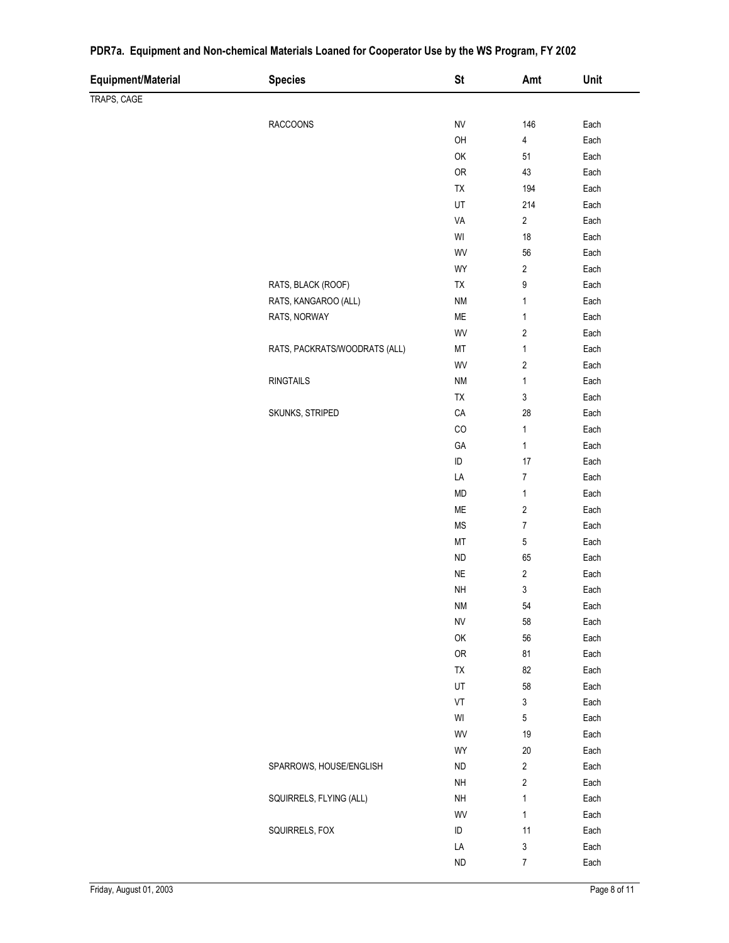| Equipment/Material | <b>Species</b>                | <b>St</b>              | Amt                       | Unit         |
|--------------------|-------------------------------|------------------------|---------------------------|--------------|
| TRAPS, CAGE        |                               |                        |                           |              |
|                    | RACCOONS                      | <b>NV</b>              | 146                       |              |
|                    |                               | OH                     |                           | Each<br>Each |
|                    |                               | OK                     | 4<br>51                   | Each         |
|                    |                               | ${\sf OR}$             | 43                        | Each         |
|                    |                               | TX                     | 194                       | Each         |
|                    |                               | UT                     | 214                       | Each         |
|                    |                               | VA                     | $\sqrt{2}$                | Each         |
|                    |                               | $\mathsf{W}\mathsf{I}$ | 18                        | Each         |
|                    |                               | WV                     | 56                        | Each         |
|                    |                               | WY                     | $\sqrt{2}$                | Each         |
|                    | RATS, BLACK (ROOF)            | TX                     | 9                         | Each         |
|                    | RATS, KANGAROO (ALL)          | $\mathsf{N}\mathsf{M}$ | 1                         | Each         |
|                    | RATS, NORWAY                  | ${\sf ME}$             | $\mathbf{1}$              | Each         |
|                    |                               | WV                     | $\sqrt{2}$                | Each         |
|                    | RATS, PACKRATS/WOODRATS (ALL) | MT                     | 1                         | Each         |
|                    |                               | WV                     | $\sqrt{2}$                | Each         |
|                    | <b>RINGTAILS</b>              | <b>NM</b>              | 1                         | Each         |
|                    |                               | TX                     | $\ensuremath{\mathsf{3}}$ | Each         |
|                    | SKUNKS, STRIPED               | ${\sf CA}$             | 28                        | Each         |
|                    |                               | CO                     | $\mathbf{1}$              | Each         |
|                    |                               | GA                     | $\mathbf{1}$              | Each         |
|                    |                               | $\sf ID$               | 17                        | Each         |
|                    |                               | LA                     | $\boldsymbol{7}$          | Each         |
|                    |                               | <b>MD</b>              | $\mathbf{1}$              | Each         |
|                    |                               | ${\sf ME}$             | $\sqrt{2}$                | Each         |
|                    |                               | <b>MS</b>              | $\overline{7}$            | Each         |
|                    |                               | $\mathsf{MT}$          | $\mathbf 5$               | Each         |
|                    |                               | ${\sf ND}$             | 65                        | Each         |
|                    |                               | $\sf NE$               | $\sqrt{2}$                | Each         |
|                    |                               | NH                     | $\mathsf 3$               | Each         |
|                    |                               | <b>NM</b>              | 54                        | Each         |
|                    |                               | <b>NV</b>              | 58                        | Each         |
|                    |                               | OK                     | 56                        | Each         |
|                    |                               | <b>OR</b>              | 81                        | Each         |
|                    |                               | TX                     | 82                        | Each         |
|                    |                               | UT                     | 58                        | Each         |
|                    |                               | VT                     | 3                         | Each         |
|                    |                               | WI                     | 5                         | Each         |
|                    |                               | WV                     | 19                        | Each         |
|                    |                               | WY                     | 20                        | Each         |
|                    | SPARROWS, HOUSE/ENGLISH       | <b>ND</b>              | $\sqrt{2}$                | Each         |
|                    |                               | $\sf NH$               | $\sqrt{2}$                | Each         |
|                    | SQUIRRELS, FLYING (ALL)       | $\sf NH$               | $\mathbf{1}$              | Each         |
|                    |                               | WV                     | $\mathbf{1}$              | Each         |
|                    | SQUIRRELS, FOX                | $\sf ID$               | 11                        | Each         |
|                    |                               | LA                     | 3                         | Each         |
|                    |                               | <b>ND</b>              | $\boldsymbol{7}$          | Each         |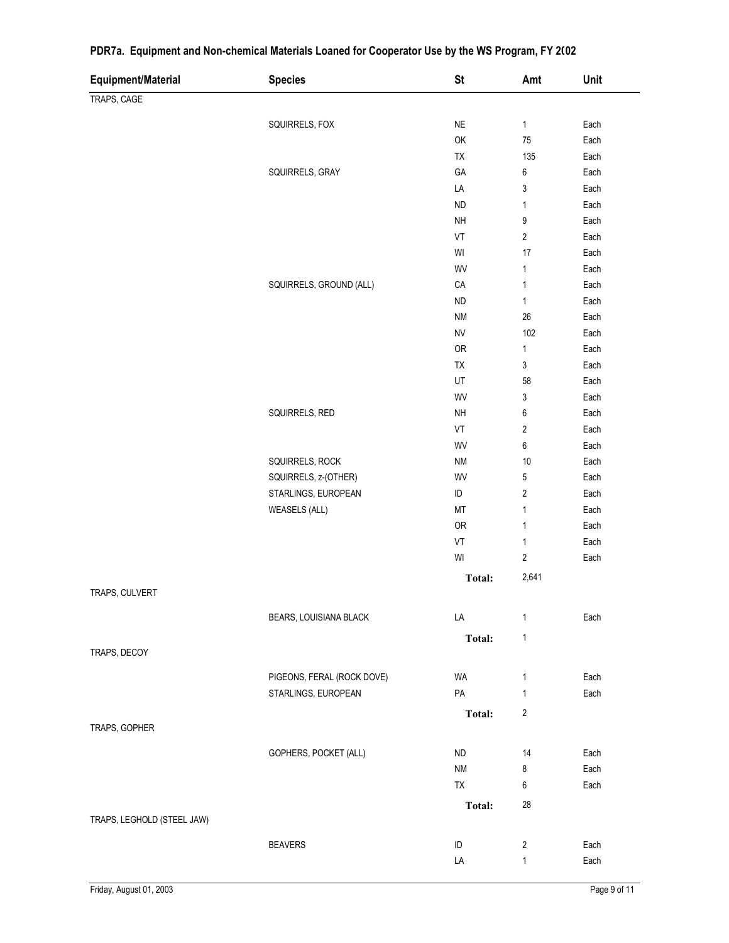| <b>Equipment/Material</b>  | <b>Species</b>             | <b>St</b>              | Amt                     | Unit         |
|----------------------------|----------------------------|------------------------|-------------------------|--------------|
| TRAPS, CAGE                |                            |                        |                         |              |
|                            |                            | $\sf NE$               |                         |              |
|                            | SQUIRRELS, FOX             | OK                     | $\mathbf{1}$<br>75      | Each<br>Each |
|                            |                            | TX                     | 135                     | Each         |
|                            | SQUIRRELS, GRAY            | GA                     | 6                       | Each         |
|                            |                            | LA                     | 3                       | Each         |
|                            |                            | <b>ND</b>              | $\mathbf{1}$            | Each         |
|                            |                            | <b>NH</b>              | 9                       | Each         |
|                            |                            | VT                     | $\overline{\mathbf{c}}$ | Each         |
|                            |                            | WI                     | 17                      | Each         |
|                            |                            | WV                     | $\mathbf{1}$            | Each         |
|                            | SQUIRRELS, GROUND (ALL)    | CA                     | $\mathbf{1}$            | Each         |
|                            |                            | <b>ND</b>              | $\mathbf{1}$            | Each         |
|                            |                            | $\mathsf{N}\mathsf{M}$ | $26\,$                  | Each         |
|                            |                            | <b>NV</b>              | 102                     | Each         |
|                            |                            | OR                     | $\mathbf{1}$            | Each         |
|                            |                            | TX                     | 3                       | Each         |
|                            |                            | UT                     | 58                      | Each         |
|                            |                            | WV                     | 3                       | Each         |
|                            | SQUIRRELS, RED             | <b>NH</b>              | 6                       | Each         |
|                            |                            | VT                     | $\sqrt{2}$              | Each         |
|                            |                            | WV                     | 6                       | Each         |
|                            | SQUIRRELS, ROCK            | $\mathsf{N}\mathsf{M}$ | 10                      | Each         |
|                            | SQUIRRELS, z-(OTHER)       | WV                     | $\,$ 5 $\,$             | Each         |
|                            | STARLINGS, EUROPEAN        | $\sf ID$               | $\overline{\mathbf{c}}$ | Each         |
|                            | <b>WEASELS (ALL)</b>       | MT                     | $\mathbf{1}$            | Each         |
|                            |                            | OR                     | $\mathbf{1}$            | Each         |
|                            |                            | VT                     | $\mathbf{1}$            | Each         |
|                            |                            | WI                     | $\sqrt{2}$              | Each         |
|                            |                            |                        | 2,641                   |              |
| TRAPS, CULVERT             |                            | Total:                 |                         |              |
|                            |                            |                        |                         |              |
|                            | BEARS, LOUISIANA BLACK     | LA                     | 1                       | Each         |
|                            |                            | Total:                 | $\mathbf{1}$            |              |
| TRAPS, DECOY               |                            |                        |                         |              |
|                            | PIGEONS, FERAL (ROCK DOVE) | WA                     | $\mathbf{1}$            | Each         |
|                            | STARLINGS, EUROPEAN        | PA                     | $\mathbf{1}$            | Each         |
|                            |                            |                        |                         |              |
|                            |                            | <b>Total:</b>          | 2                       |              |
| TRAPS, GOPHER              |                            |                        |                         |              |
|                            | GOPHERS, POCKET (ALL)      | <b>ND</b>              | 14                      | Each         |
|                            |                            | <b>NM</b>              | 8                       | Each         |
|                            |                            | TX                     | 6                       | Each         |
|                            |                            | <b>Total:</b>          | 28                      |              |
| TRAPS, LEGHOLD (STEEL JAW) |                            |                        |                         |              |
|                            |                            |                        |                         |              |
|                            | <b>BEAVERS</b>             | ID                     | 2                       | Each         |
|                            |                            | LA                     | $\mathbf{1}$            | Each         |

 $\overline{\phantom{0}}$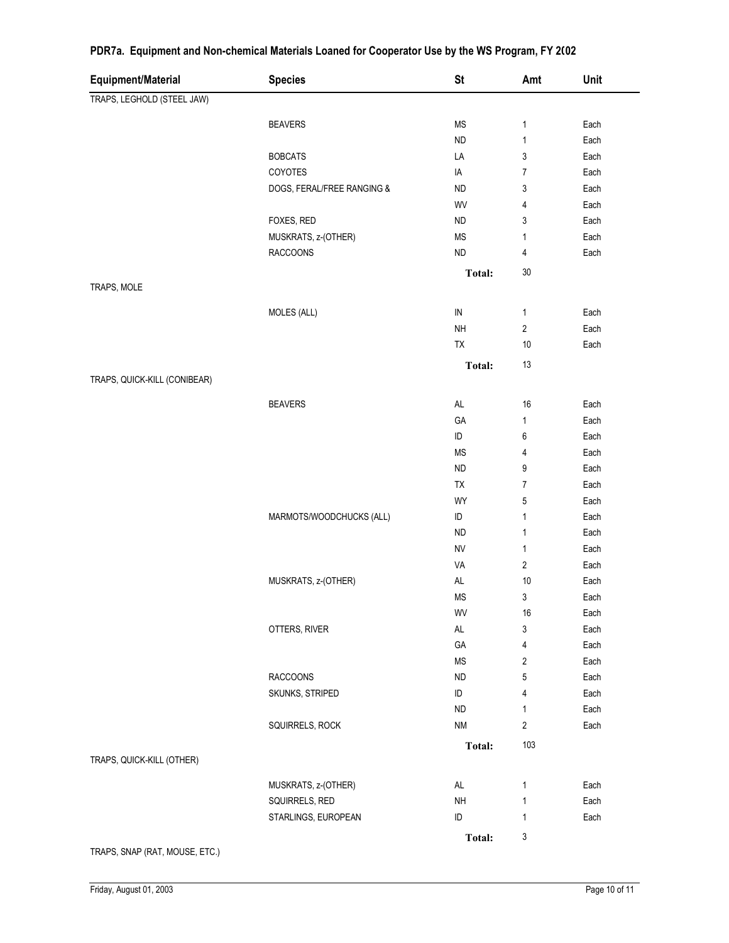| Equipment/Material           | <b>Species</b>             | <b>St</b>            | Amt            | Unit |
|------------------------------|----------------------------|----------------------|----------------|------|
| TRAPS, LEGHOLD (STEEL JAW)   |                            |                      |                |      |
|                              | <b>BEAVERS</b>             | $\mathsf{MS}\xspace$ | 1              | Each |
|                              |                            | ${\sf ND}$           | 1              | Each |
|                              | <b>BOBCATS</b>             | LA                   | 3              | Each |
|                              | COYOTES                    | IA                   | 7              | Each |
|                              | DOGS, FERAL/FREE RANGING & | <b>ND</b>            | 3              | Each |
|                              |                            | WV                   | 4              | Each |
|                              | FOXES, RED                 | <b>ND</b>            | 3              | Each |
|                              | MUSKRATS, z-(OTHER)        | $\mathsf{MS}\xspace$ | 1              | Each |
|                              | <b>RACCOONS</b>            | ND                   | 4              | Each |
|                              |                            | <b>Total:</b>        | $30\,$         |      |
| TRAPS, MOLE                  |                            |                      |                |      |
|                              | MOLES (ALL)                | ${\sf IN}$           | 1              | Each |
|                              |                            | <b>NH</b>            | 2              | Each |
|                              |                            | TX                   | 10             | Each |
|                              |                            | Total:               | 13             |      |
| TRAPS, QUICK-KILL (CONIBEAR) |                            |                      |                |      |
|                              | <b>BEAVERS</b>             | $\mathsf{AL}$        | 16             | Each |
|                              |                            | GA                   | 1              | Each |
|                              |                            | ID                   | 6              | Each |
|                              |                            | <b>MS</b>            | 4              | Each |
|                              |                            | ND                   | 9              | Each |
|                              |                            | TX                   | $\overline{7}$ | Each |
|                              |                            | WY                   | 5              | Each |
|                              | MARMOTS/WOODCHUCKS (ALL)   | $\sf ID$             | $\mathbf{1}$   | Each |
|                              |                            | <b>ND</b>            | $\mathbf{1}$   | Each |
|                              |                            | <b>NV</b>            | 1              | Each |
|                              |                            | VA                   | 2              | Each |
|                              | MUSKRATS, z-(OTHER)        | $\mathsf{AL}$        | 10             | Each |
|                              |                            | <b>MS</b>            | 3              | Each |
|                              |                            | WV                   | 16             | Each |
|                              | OTTERS, RIVER              | AL                   | 3              | Each |
|                              |                            | GA                   | 4              | Each |
|                              |                            | <b>MS</b>            | 2              | Each |
|                              | <b>RACCOONS</b>            | ${\sf ND}$           | 5              | Each |
|                              | SKUNKS, STRIPED            | ID                   | 4              | Each |
|                              |                            | ${\sf ND}$           | 1              | Each |
|                              | SQUIRRELS, ROCK            | <b>NM</b>            | $\overline{2}$ | Each |
|                              |                            | Total:               | 103            |      |
| TRAPS, QUICK-KILL (OTHER)    |                            |                      |                |      |
|                              | MUSKRATS, z-(OTHER)        | AL                   | 1              | Each |
|                              | SQUIRRELS, RED             | NH                   | 1              | Each |
|                              | STARLINGS, EUROPEAN        | ID                   | 1              | Each |
|                              |                            | Total:               | 3              |      |

TRAPS, SNAP (RAT, MOUSE, ETC.)